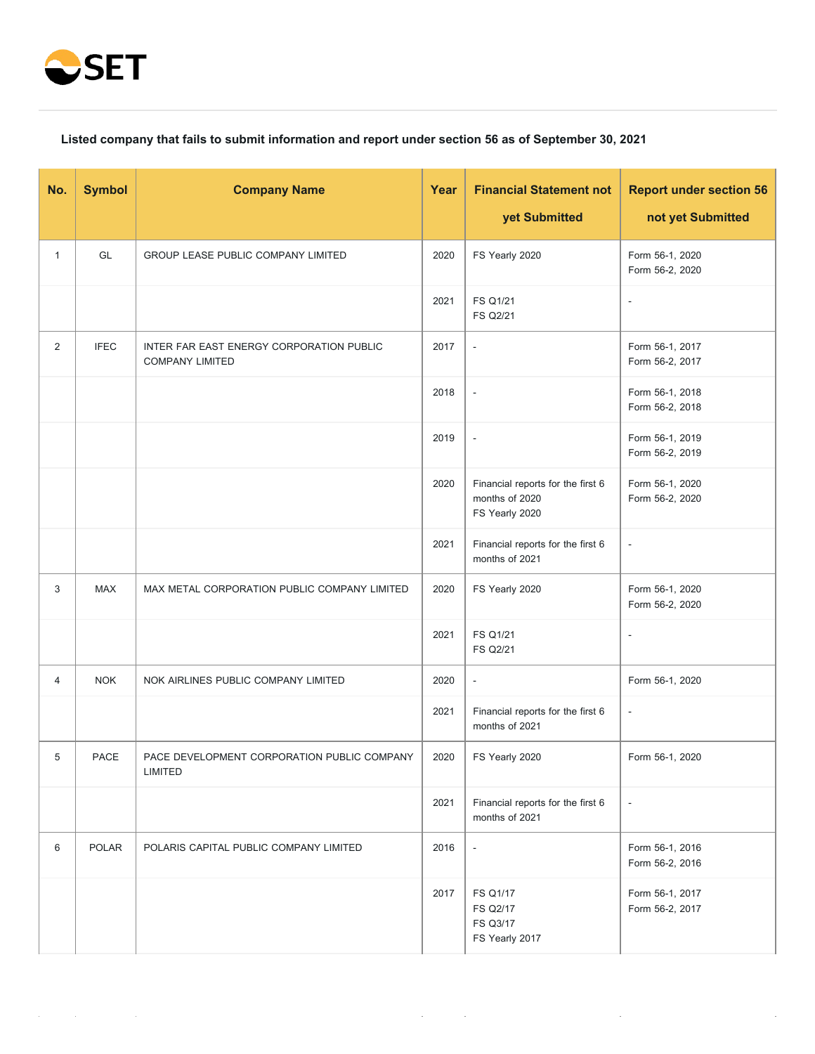

## **Listed company that fails to submit information and report under section 56 as of September 30, 2021**

| No.          | <b>Symbol</b> | <b>Company Name</b>                                                | Year | <b>Financial Statement not</b>                                        | <b>Report under section 56</b>     |
|--------------|---------------|--------------------------------------------------------------------|------|-----------------------------------------------------------------------|------------------------------------|
|              |               |                                                                    |      | yet Submitted                                                         | not yet Submitted                  |
| $\mathbf{1}$ | GL            | <b>GROUP LEASE PUBLIC COMPANY LIMITED</b>                          | 2020 | FS Yearly 2020                                                        | Form 56-1, 2020<br>Form 56-2, 2020 |
|              |               |                                                                    | 2021 | <b>FS Q1/21</b><br><b>FS Q2/21</b>                                    | $\overline{\phantom{a}}$           |
| 2            | <b>IFEC</b>   | INTER FAR EAST ENERGY CORPORATION PUBLIC<br><b>COMPANY LIMITED</b> | 2017 | $\blacksquare$                                                        | Form 56-1, 2017<br>Form 56-2, 2017 |
|              |               |                                                                    | 2018 | $\overline{\phantom{a}}$                                              | Form 56-1, 2018<br>Form 56-2, 2018 |
|              |               |                                                                    | 2019 | $\overline{\phantom{a}}$                                              | Form 56-1, 2019<br>Form 56-2, 2019 |
|              |               |                                                                    | 2020 | Financial reports for the first 6<br>months of 2020<br>FS Yearly 2020 | Form 56-1, 2020<br>Form 56-2, 2020 |
|              |               |                                                                    | 2021 | Financial reports for the first 6<br>months of 2021                   | $\overline{\phantom{a}}$           |
| 3            | <b>MAX</b>    | MAX METAL CORPORATION PUBLIC COMPANY LIMITED                       | 2020 | FS Yearly 2020                                                        | Form 56-1, 2020<br>Form 56-2, 2020 |
|              |               |                                                                    | 2021 | <b>FS Q1/21</b><br>FS Q2/21                                           | $\overline{\phantom{a}}$           |
| 4            | <b>NOK</b>    | NOK AIRLINES PUBLIC COMPANY LIMITED                                | 2020 | $\overline{\phantom{a}}$                                              | Form 56-1, 2020                    |
|              |               |                                                                    | 2021 | Financial reports for the first 6<br>months of 2021                   | $\overline{\phantom{a}}$           |
| 5            | <b>PACE</b>   | PACE DEVELOPMENT CORPORATION PUBLIC COMPANY<br>LIMITED             | 2020 | FS Yearly 2020                                                        | Form 56-1, 2020                    |
|              |               |                                                                    | 2021 | Financial reports for the first 6<br>months of 2021                   | $\blacksquare$                     |
| 6            | POLAR         | POLARIS CAPITAL PUBLIC COMPANY LIMITED                             | 2016 | $\overline{\phantom{a}}$                                              | Form 56-1, 2016<br>Form 56-2, 2016 |
|              |               |                                                                    | 2017 | FS Q1/17<br>FS Q2/17<br>FS Q3/17<br>FS Yearly 2017                    | Form 56-1, 2017<br>Form 56-2, 2017 |